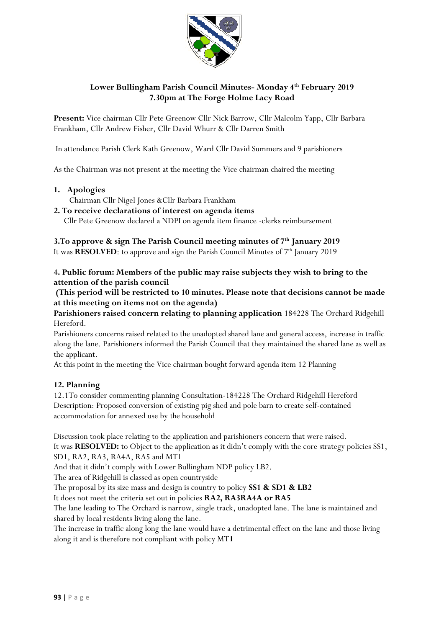

# **Lower Bullingham Parish Council Minutes- Monday 4 th February 2019 7.30pm at The Forge Holme Lacy Road**

**Present:** Vice chairman Cllr Pete Greenow Cllr Nick Barrow, Cllr Malcolm Yapp, Cllr Barbara Frankham, Cllr Andrew Fisher, Cllr David Whurr & Cllr Darren Smith

In attendance Parish Clerk Kath Greenow, Ward Cllr David Summers and 9 parishioners

As the Chairman was not present at the meeting the Vice chairman chaired the meeting

**1. Apologies** 

Chairman Cllr Nigel Jones &Cllr Barbara Frankham

#### **2. To receive declarations of interest on agenda items**

Cllr Pete Greenow declared a NDPI on agenda item finance -clerks reimbursement

**3.To approve & sign The Parish Council meeting minutes of 7th January 2019**  It was **RESOLVED**: to approve and sign the Parish Council Minutes of 7<sup>th</sup> January 2019

**4. Public forum: Members of the public may raise subjects they wish to bring to the attention of the parish council**

**(This period will be restricted to 10 minutes. Please note that decisions cannot be made at this meeting on items not on the agenda)**

**Parishioners raised concern relating to planning application** 184228 The Orchard Ridgehill Hereford.

Parishioners concerns raised related to the unadopted shared lane and general access, increase in traffic along the lane. Parishioners informed the Parish Council that they maintained the shared lane as well as the applicant.

At this point in the meeting the Vice chairman bought forward agenda item 12 Planning

### **12. Planning**

12.1To consider commenting planning Consultation-184228 The Orchard Ridgehill Hereford Description: Proposed conversion of existing pig shed and pole barn to create self-contained accommodation for annexed use by the household

Discussion took place relating to the application and parishioners concern that were raised. It was **RESOLVED:** to Object to the application as it didn't comply with the core strategy policies SS1, SD1, RA2, RA3, RA4A, RA5 and MT1

And that it didn't comply with Lower Bullingham NDP policy LB2.

The area of Ridgehill is classed as open countryside

The proposal by its size mass and design is country to policy **SS1 & SD1 & LB2**

It does not meet the criteria set out in policies **RA2, RA3RA4A or RA5**

The lane leading to The Orchard is narrow, single track, unadopted lane. The lane is maintained and shared by local residents living along the lane.

The increase in traffic along long the lane would have a detrimental effect on the lane and those living along it and is therefore not compliant with policy MT**1**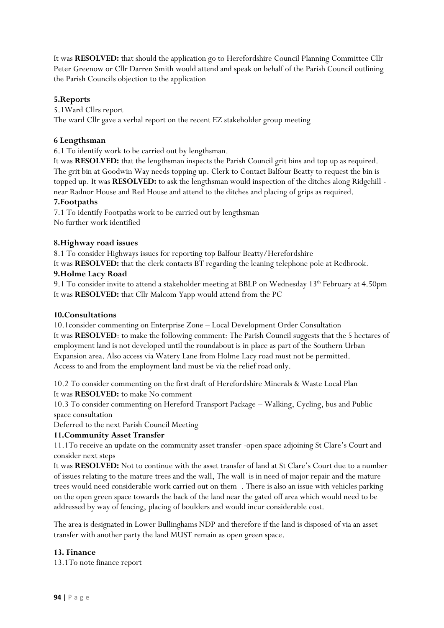It was **RESOLVED:** that should the application go to Herefordshire Council Planning Committee Cllr Peter Greenow or Cllr Darren Smith would attend and speak on behalf of the Parish Council outlining the Parish Councils objection to the application

## **5.Reports**

5.1Ward Cllrs report The ward Cllr gave a verbal report on the recent EZ stakeholder group meeting

### **6 Lengthsman**

6.1 To identify work to be carried out by lengthsman.

It was **RESOLVED:** that the lengthsman inspects the Parish Council grit bins and top up as required. The grit bin at Goodwin Way needs topping up. Clerk to Contact Balfour Beatty to request the bin is topped up. It was **RESOLVED:** to ask the lengthsman would inspection of the ditches along Ridgehill near Radnor House and Red House and attend to the ditches and placing of grips as required.

### **7.Footpaths**

7.1 To identify Footpaths work to be carried out by lengthsman No further work identified

## **8.Highway road issues**

8.1 To consider Highways issues for reporting top Balfour Beatty/Herefordshire

It was **RESOLVED:** that the clerk contacts BT regarding the leaning telephone pole at Redbrook.

## **9.Holme Lacy Road**

9.1 To consider invite to attend a stakeholder meeting at BBLP on Wednesday 13th February at 4.50pm It was **RESOLVED:** that Cllr Malcom Yapp would attend from the PC

### **10.Consultations**

10.1consider commenting on Enterprise Zone – Local Development Order Consultation It was **RESOLVED**: to make the following comment: The Parish Council suggests that the 5 hectares of employment land is not developed until the roundabout is in place as part of the Southern Urban Expansion area. Also access via Watery Lane from Holme Lacy road must not be permitted. Access to and from the employment land must be via the relief road only.

10.2 To consider commenting on the first draft of Herefordshire Minerals & Waste Local Plan It was **RESOLVED:** to make No comment

10.3 To consider commenting on Hereford Transport Package – Walking, Cycling, bus and Public space consultation

Deferred to the next Parish Council Meeting

### **11.Community Asset Transfer**

11.1To receive an update on the community asset transfer -open space adjoining St Clare's Court and consider next steps

It was **RESOLVED:** Not to continue with the asset transfer of land at St Clare's Court due to a number of issues relating to the mature trees and the wall, The wall is in need of major repair and the mature trees would need considerable work carried out on them . There is also an issue with vehicles parking on the open green space towards the back of the land near the gated off area which would need to be addressed by way of fencing, placing of boulders and would incur considerable cost.

The area is designated in Lower Bullinghams NDP and therefore if the land is disposed of via an asset transfer with another party the land MUST remain as open green space.

### **13. Finance**

13.1To note finance report